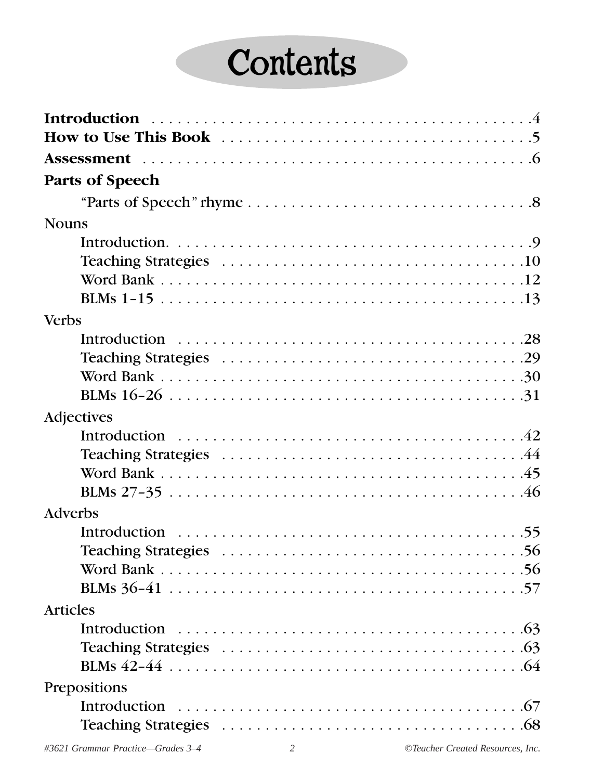# **Contents**

| <b>Parts of Speech</b> |  |
|------------------------|--|
|                        |  |
| <b>Nouns</b>           |  |
|                        |  |
|                        |  |
|                        |  |
|                        |  |
| <b>Verbs</b>           |  |
|                        |  |
|                        |  |
|                        |  |
|                        |  |
| Adjectives             |  |
|                        |  |
|                        |  |
|                        |  |
|                        |  |
|                        |  |
| Adverbs                |  |
|                        |  |
|                        |  |
|                        |  |
|                        |  |
| <b>Articles</b>        |  |
|                        |  |
|                        |  |
|                        |  |
| Prepositions           |  |
|                        |  |
|                        |  |
|                        |  |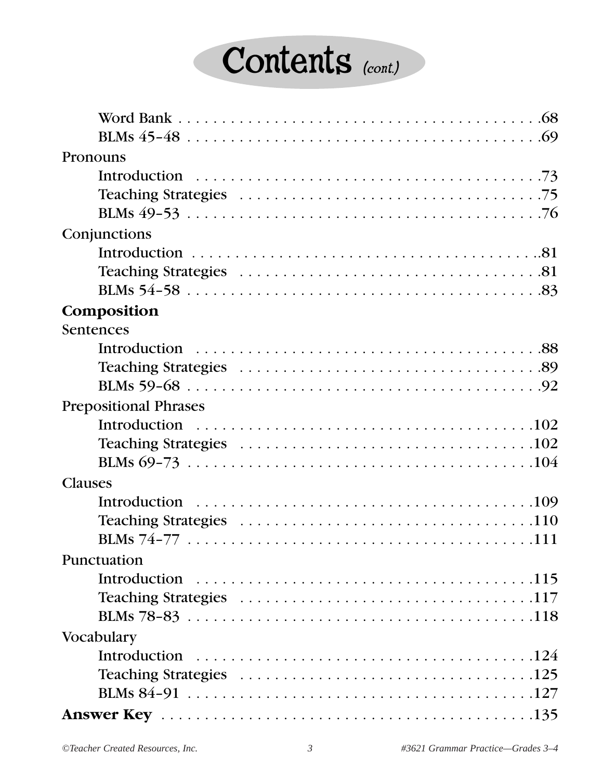# Contents (cont.)

| Pronouns                                                                                               |
|--------------------------------------------------------------------------------------------------------|
|                                                                                                        |
|                                                                                                        |
|                                                                                                        |
| Conjunctions                                                                                           |
|                                                                                                        |
|                                                                                                        |
|                                                                                                        |
| Composition                                                                                            |
| Sentences                                                                                              |
|                                                                                                        |
|                                                                                                        |
|                                                                                                        |
| <b>Prepositional Phrases</b>                                                                           |
|                                                                                                        |
|                                                                                                        |
|                                                                                                        |
| <b>Clauses</b>                                                                                         |
|                                                                                                        |
| Teaching Strategies $\ldots \ldots \ldots \ldots \ldots \ldots \ldots \ldots \ldots \ldots \ldots 110$ |
|                                                                                                        |
| Punctuation                                                                                            |
|                                                                                                        |
|                                                                                                        |
|                                                                                                        |
| Vocabulary                                                                                             |
|                                                                                                        |
|                                                                                                        |
|                                                                                                        |
|                                                                                                        |
|                                                                                                        |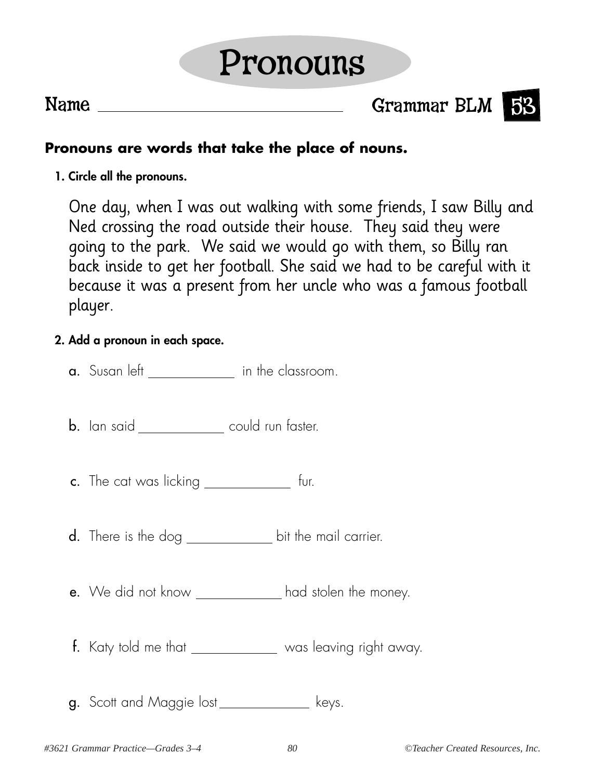## Pronouns

Name Grammar BLM 53



### **Pronouns are words that take the place of nouns.**

**1. Circle all the pronouns.**

One day, when I was out walking with some friends, I saw Billy and Ned crossing the road outside their house. They said they were going to the park. We said we would go with them, so Billy ran back inside to get her football. She said we had to be careful with it because it was a present from her uncle who was a famous football player.

#### **2. Add a pronoun in each space.**

- a. Susan left \_\_\_\_\_\_\_\_\_\_\_\_ in the classroom.
- **b.** Ian said <u>could run faster</u>.
- c. The cat was licking \_\_\_\_\_\_\_\_\_\_\_\_\_ fur.
- d. There is the dog \_\_\_\_\_\_\_\_\_\_\_\_\_\_\_ bit the mail carrier.
- e. We did not know \_\_\_\_\_\_\_\_\_\_\_\_\_ had stolen the money.
- f. Katy told me that was leaving right away.
- g. Scott and Maggie lost\_\_\_\_\_\_\_\_\_\_\_\_\_ keys.